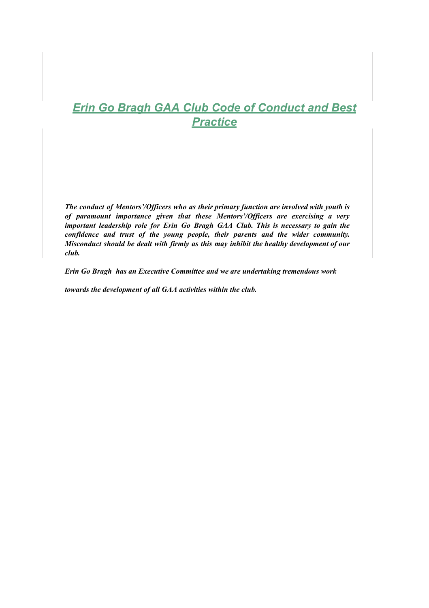# *Erin Go Bragh GAA Club Code of Conduct and Best Practice*

*The conduct of Mentors'/Officers who as their primary function are involved with youth is of paramount importance given that these Mentors'/Officers are exercising a very important leadership role for Erin Go Bragh GAA Club. This is necessary to gain the confidence and trust of the young people, their parents and the wider community. Misconduct should be dealt with firmly as this may inhibit the healthy development of our club.*

*Erin Go Bragh has an Executive Committee and we are undertaking tremendous work*

*towards the development of all GAA activities within the club.*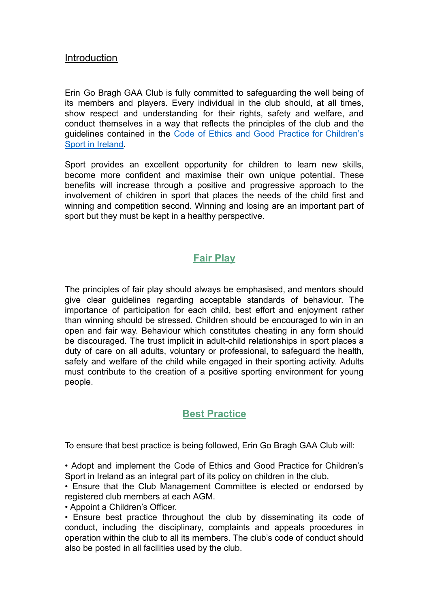#### **Introduction**

Erin Go Bragh GAA Club is fully committed to safeguarding the well being of its members and players. Every individual in the club should, at all times, show respect and understanding for their rights, safety and welfare, and conduct themselves in a way that reflects the principles of the club and the guidelines contained in the Code of Ethics and Good Practice for [Children's](https://www.athleticsireland.ie/downloads/other/code-of-ethics-for-children_soft.pdf) [Sport in Ireland.](https://www.athleticsireland.ie/downloads/other/code-of-ethics-for-children_soft.pdf)

Sport provides an excellent opportunity for children to learn new skills, become more confident and maximise their own unique potential. These benefits will increase through a positive and progressive approach to the involvement of children in sport that places the needs of the child first and winning and competition second. Winning and losing are an important part of sport but they must be kept in a healthy perspective.

### **Fair Play**

The principles of fair play should always be emphasised, and mentors should give clear guidelines regarding acceptable standards of behaviour. The importance of participation for each child, best effort and enjoyment rather than winning should be stressed. Children should be encouraged to win in an open and fair way. Behaviour which constitutes cheating in any form should be discouraged. The trust implicit in adult-child relationships in sport places a duty of care on all adults, voluntary or professional, to safeguard the health, safety and welfare of the child while engaged in their sporting activity. Adults must contribute to the creation of a positive sporting environment for young people.

### **Best Practice**

To ensure that best practice is being followed, Erin Go Bragh GAA Club will:

• Adopt and implement the Code of Ethics and Good Practice for Children's Sport in Ireland as an integral part of its policy on children in the club.

• Ensure that the Club Management Committee is elected or endorsed by registered club members at each AGM.

• Appoint a Children's Officer.

• Ensure best practice throughout the club by disseminating its code of conduct, including the disciplinary, complaints and appeals procedures in operation within the club to all its members. The club's code of conduct should also be posted in all facilities used by the club.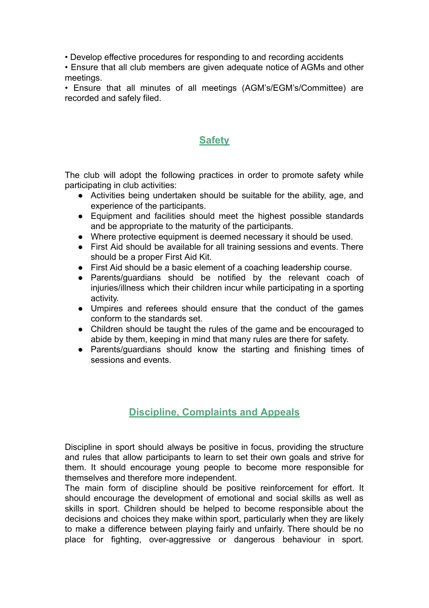• Develop effective procedures for responding to and recording accidents

• Ensure that all club members are given adequate notice of AGMs and other meetings.

• Ensure that all minutes of all meetings (AGM's/EGM's/Committee) are recorded and safely filed.

### **Safety**

The club will adopt the following practices in order to promote safety while participating in club activities:

- Activities being undertaken should be suitable for the ability, age, and experience of the participants.
- Equipment and facilities should meet the highest possible standards and be appropriate to the maturity of the participants.
- Where protective equipment is deemed necessary it should be used.
- First Aid should be available for all training sessions and events. There should be a proper First Aid Kit.
- First Aid should be a basic element of a coaching leadership course.
- Parents/guardians should be notified by the relevant coach of injuries/illness which their children incur while participating in a sporting activity.
- Umpires and referees should ensure that the conduct of the games conform to the standards set.
- Children should be taught the rules of the game and be encouraged to abide by them, keeping in mind that many rules are there for safety.
- Parents/guardians should know the starting and finishing times of sessions and events.

## **Discipline, Complaints and Appeals**

Discipline in sport should always be positive in focus, providing the structure and rules that allow participants to learn to set their own goals and strive for them. It should encourage young people to become more responsible for themselves and therefore more independent.

The main form of discipline should be positive reinforcement for effort. It should encourage the development of emotional and social skills as well as skills in sport. Children should be helped to become responsible about the decisions and choices they make within sport, particularly when they are likely to make a difference between playing fairly and unfairly. There should be no place for fighting, over-aggressive or dangerous behaviour in sport.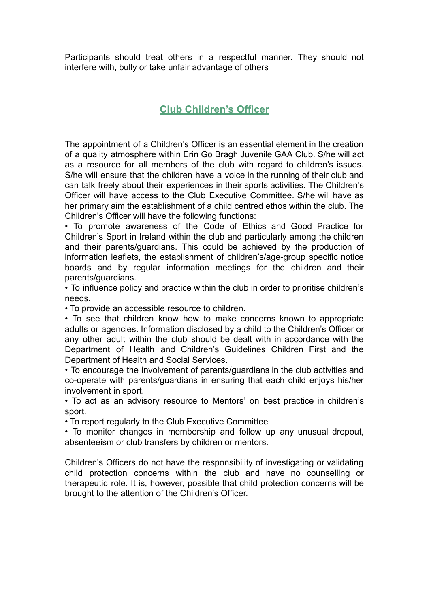Participants should treat others in a respectful manner. They should not interfere with, bully or take unfair advantage of others

### **Club Children's Officer**

The appointment of a Children's Officer is an essential element in the creation of a quality atmosphere within Erin Go Bragh Juvenile GAA Club. S/he will act as a resource for all members of the club with regard to children's issues. S/he will ensure that the children have a voice in the running of their club and can talk freely about their experiences in their sports activities. The Children's Officer will have access to the Club Executive Committee. S/he will have as her primary aim the establishment of a child centred ethos within the club. The Children's Officer will have the following functions:

• To promote awareness of the Code of Ethics and Good Practice for Children's Sport in Ireland within the club and particularly among the children and their parents/guardians. This could be achieved by the production of information leaflets, the establishment of children's/age-group specific notice boards and by regular information meetings for the children and their parents/guardians.

• To influence policy and practice within the club in order to prioritise children's needs.

• To provide an accessible resource to children.

• To see that children know how to make concerns known to appropriate adults or agencies. Information disclosed by a child to the Children's Officer or any other adult within the club should be dealt with in accordance with the Department of Health and Children's Guidelines Children First and the Department of Health and Social Services.

• To encourage the involvement of parents/guardians in the club activities and co-operate with parents/guardians in ensuring that each child enjoys his/her involvement in sport.

• To act as an advisory resource to Mentors' on best practice in children's sport.

• To report regularly to the Club Executive Committee

• To monitor changes in membership and follow up any unusual dropout, absenteeism or club transfers by children or mentors.

Children's Officers do not have the responsibility of investigating or validating child protection concerns within the club and have no counselling or therapeutic role. It is, however, possible that child protection concerns will be brought to the attention of the Children's Officer.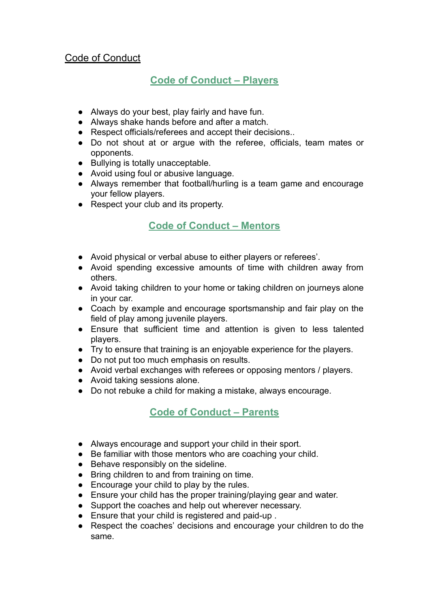#### Code of Conduct

## **Code of Conduct – Players**

- Always do your best, play fairly and have fun.
- Always shake hands before and after a match.
- Respect officials/referees and accept their decisions..
- Do not shout at or argue with the referee, officials, team mates or opponents.
- Bullying is totally unacceptable.
- Avoid using foul or abusive language.
- Always remember that football/hurling is a team game and encourage your fellow players.
- Respect your club and its property.

### **Code of Conduct – Mentors**

- Avoid physical or verbal abuse to either players or referees'.
- Avoid spending excessive amounts of time with children away from others.
- Avoid taking children to your home or taking children on journeys alone in your car.
- Coach by example and encourage sportsmanship and fair play on the field of play among juvenile players.
- Ensure that sufficient time and attention is given to less talented players.
- Try to ensure that training is an enjoyable experience for the players.
- Do not put too much emphasis on results.
- Avoid verbal exchanges with referees or opposing mentors / players.
- Avoid taking sessions alone.
- Do not rebuke a child for making a mistake, always encourage.

### **Code of Conduct – Parents**

- Always encourage and support your child in their sport.
- Be familiar with those mentors who are coaching your child.
- Behave responsibly on the sideline.
- Bring children to and from training on time.
- Encourage your child to play by the rules.
- Ensure your child has the proper training/playing gear and water.
- Support the coaches and help out wherever necessary.
- Ensure that your child is registered and paid-up .
- Respect the coaches' decisions and encourage your children to do the same.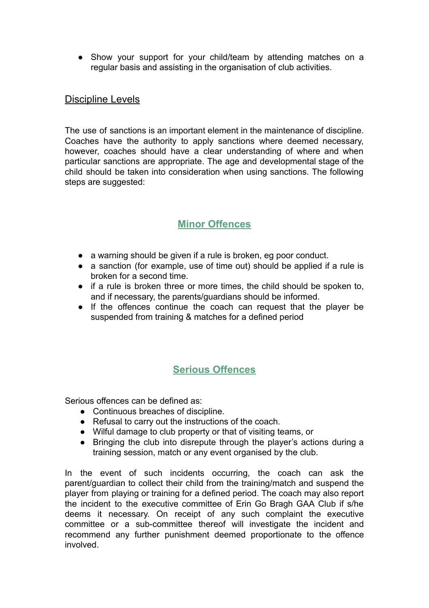• Show your support for your child/team by attending matches on a regular basis and assisting in the organisation of club activities.

#### Discipline Levels

The use of sanctions is an important element in the maintenance of discipline. Coaches have the authority to apply sanctions where deemed necessary, however, coaches should have a clear understanding of where and when particular sanctions are appropriate. The age and developmental stage of the child should be taken into consideration when using sanctions. The following steps are suggested:

## **Minor Offences**

- a warning should be given if a rule is broken, eg poor conduct.
- a sanction (for example, use of time out) should be applied if a rule is broken for a second time.
- if a rule is broken three or more times, the child should be spoken to, and if necessary, the parents/guardians should be informed.
- If the offences continue the coach can request that the player be suspended from training & matches for a defined period

### **Serious Offences**

Serious offences can be defined as:

- Continuous breaches of discipline.
- Refusal to carry out the instructions of the coach.
- Wilful damage to club property or that of visiting teams, or
- Bringing the club into disrepute through the player's actions during a training session, match or any event organised by the club.

In the event of such incidents occurring, the coach can ask the parent/guardian to collect their child from the training/match and suspend the player from playing or training for a defined period. The coach may also report the incident to the executive committee of Erin Go Bragh GAA Club if s/he deems it necessary. On receipt of any such complaint the executive committee or a sub-committee thereof will investigate the incident and recommend any further punishment deemed proportionate to the offence involved.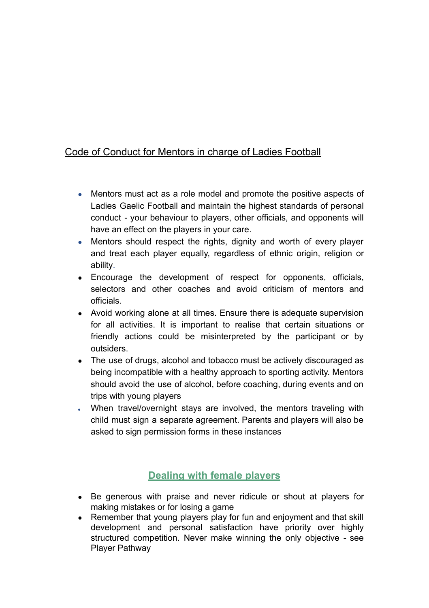### Code of Conduct for Mentors in charge of Ladies Football

- Mentors must act as a role model and promote the positive aspects of Ladies Gaelic Football and maintain the highest standards of personal conduct - your behaviour to players, other officials, and opponents will have an effect on the players in your care.
- Mentors should respect the rights, dignity and worth of every player and treat each player equally, regardless of ethnic origin, religion or ability.
- Encourage the development of respect for opponents, officials, selectors and other coaches and avoid criticism of mentors and officials.
- Avoid working alone at all times. Ensure there is adequate supervision for all activities. It is important to realise that certain situations or friendly actions could be misinterpreted by the participant or by outsiders.
- The use of drugs, alcohol and tobacco must be actively discouraged as being incompatible with a healthy approach to sporting activity. Mentors should avoid the use of alcohol, before coaching, during events and on trips with young players
- When travel/overnight stays are involved, the mentors traveling with child must sign a separate agreement. Parents and players will also be asked to sign permission forms in these instances

## **Dealing with female players**

- Be generous with praise and never ridicule or shout at players for making mistakes or for losing a game
- Remember that young players play for fun and enjoyment and that skill development and personal satisfaction have priority over highly structured competition. Never make winning the only objective - see Player Pathway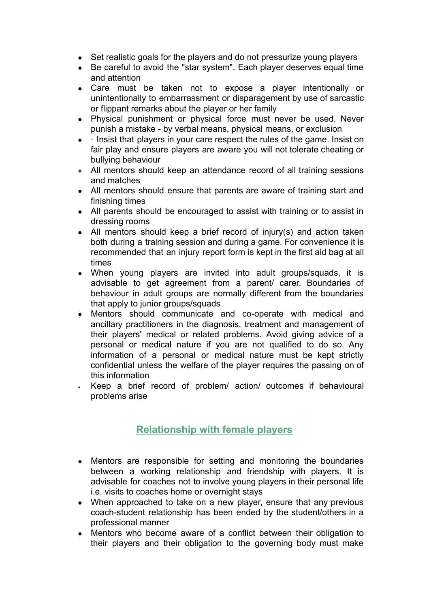- Set realistic goals for the players and do not pressurize young players
- Be careful to avoid the "star system". Each player deserves equal time and attention
- Care must be taken not to expose a player intentionally or unintentionally to embarrassment or disparagement by use of sarcastic or flippant remarks about the player or her family
- Physical punishment or physical force must never be used. Never punish a mistake - by verbal means, physical means, or exclusion
- Insist that players in your care respect the rules of the game. Insist on fair play and ensure players are aware you will not tolerate cheating or bullying behaviour
- All mentors should keep an attendance record of all training sessions and matches
- All mentors should ensure that parents are aware of training start and finishing times
- All parents should be encouraged to assist with training or to assist in dressing rooms
- All mentors should keep a brief record of injury(s) and action taken both during a training session and during a game. For convenience it is recommended that an injury report form is kept in the first aid bag at all times
- When young players are invited into adult groups/squads, it is advisable to get agreement from a parent/ carer. Boundaries of behaviour in adult groups are normally different from the boundaries that apply to junior groups/squads
- Mentors should communicate and co-operate with medical and ancillary practitioners in the diagnosis, treatment and management of their players' medical or related problems. Avoid giving advice of a personal or medical nature if you are not qualified to do so. Any information of a personal or medical nature must be kept strictly confidential unless the welfare of the player requires the passing on of this information
- Keep a brief record of problem/ action/ outcomes if behavioural problems arise

## **Relationship with female players**

- Mentors are responsible for setting and monitoring the boundaries between a working relationship and friendship with players. It is advisable for coaches not to involve young players in their personal life i.e. visits to coaches home or overnight stays
- When approached to take on a new player, ensure that any previous coach-student relationship has been ended by the student/others in a professional manner
- Mentors who become aware of a conflict between their obligation to their players and their obligation to the governing body must make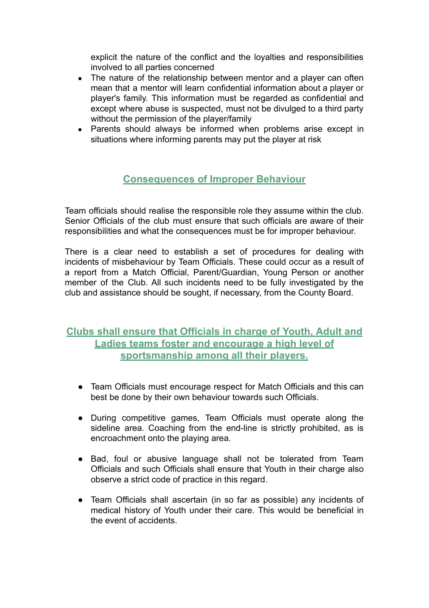explicit the nature of the conflict and the loyalties and responsibilities involved to all parties concerned

- The nature of the relationship between mentor and a player can often mean that a mentor will learn confidential information about a player or player's family. This information must be regarded as confidential and except where abuse is suspected, must not be divulged to a third party without the permission of the player/family
- Parents should always be informed when problems arise except in situations where informing parents may put the player at risk

### **Consequences of Improper Behaviour**

Team officials should realise the responsible role they assume within the club. Senior Officials of the club must ensure that such officials are aware of their responsibilities and what the consequences must be for improper behaviour.

There is a clear need to establish a set of procedures for dealing with incidents of misbehaviour by Team Officials. These could occur as a result of a report from a Match Official, Parent/Guardian, Young Person or another member of the Club. All such incidents need to be fully investigated by the club and assistance should be sought, if necessary, from the County Board.

#### **Clubs shall ensure that Officials in charge of Youth, Adult and Ladies teams foster and encourage a high level of sportsmanship among all their players.**

- Team Officials must encourage respect for Match Officials and this can best be done by their own behaviour towards such Officials.
- During competitive games, Team Officials must operate along the sideline area. Coaching from the end-line is strictly prohibited, as is encroachment onto the playing area.
- Bad, foul or abusive language shall not be tolerated from Team Officials and such Officials shall ensure that Youth in their charge also observe a strict code of practice in this regard.
- Team Officials shall ascertain (in so far as possible) any incidents of medical history of Youth under their care. This would be beneficial in the event of accidents.